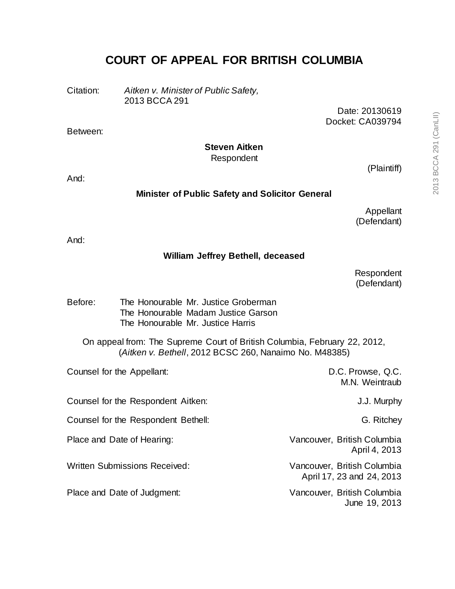# **COURT OF APPEAL FOR BRITISH COLUMBIA**

Citation: *Aitken v. Minister of Public Safety,* 2013 BCCA 291

> Date: 20130619 Docket: CA039794

## **Steven Aitken**

Respondent

And:

Between:

#### **Minister of Public Safety and Solicitor General**

Appellant (Defendant)

(Plaintiff)

And:

#### **William Jeffrey Bethell, deceased**

Respondent (Defendant)

Before: The Honourable Mr. Justice Groberman The Honourable Madam Justice Garson The Honourable Mr. Justice Harris

On appeal from: The Supreme Court of British Columbia, February 22, 2012, (*Aitken v. Bethell*, 2012 BCSC 260, Nanaimo No. M48385)

| Counsel for the Appellant:           | D.C. Prowse, Q.C.<br>M.N. Weintraub                      |
|--------------------------------------|----------------------------------------------------------|
| Counsel for the Respondent Aitken:   | J.J. Murphy                                              |
| Counsel for the Respondent Bethell:  | G. Ritchey                                               |
| Place and Date of Hearing:           | Vancouver, British Columbia<br>April 4, 2013             |
| <b>Written Submissions Received:</b> | Vancouver, British Columbia<br>April 17, 23 and 24, 2013 |
| Place and Date of Judgment:          | Vancouver, British Columbia<br>June 19, 2013             |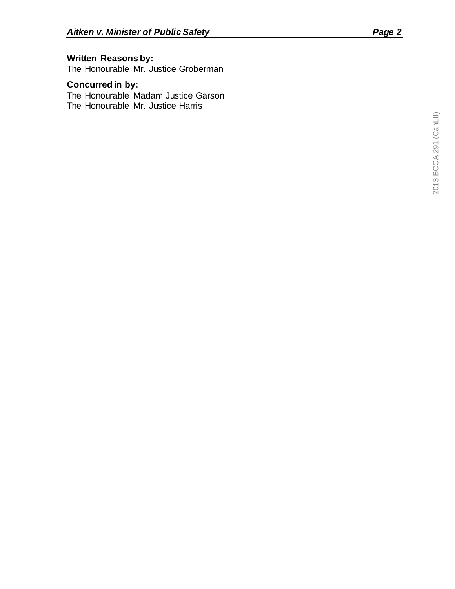## **Written Reasons by:**

The Honourable Mr. Justice Groberman

# **Concurred in by:**

The Honourable Madam Justice Garson The Honourable Mr. Justice Harris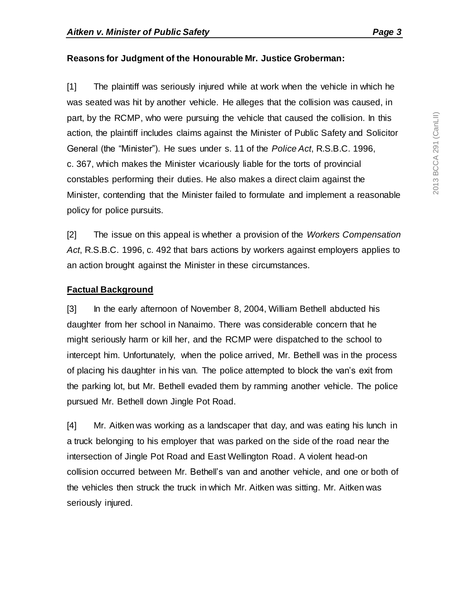## **Reasons for Judgment of the Honourable Mr. Justice Groberman:**

[1] The plaintiff was seriously injured while at work when the vehicle in which he was seated was hit by another vehicle. He alleges that the collision was caused, in part, by the RCMP, who were pursuing the vehicle that caused the collision. In this action, the plaintiff includes claims against the Minister of Public Safety and Solicitor General (the "Minister"). He sues under s. 11 of the *Police Act*, R.S.B.C. 1996, c. 367, which makes the Minister vicariously liable for the torts of provincial constables performing their duties. He also makes a direct claim against the Minister, contending that the Minister failed to formulate and implement a reasonable policy for police pursuits.

[2] The issue on this appeal is whether a provision of the *Workers Compensation Act*, R.S.B.C. 1996, c. 492 that bars actions by workers against employers applies to an action brought against the Minister in these circumstances.

## **Factual Background**

[3] In the early afternoon of November 8, 2004, William Bethell abducted his daughter from her school in Nanaimo. There was considerable concern that he might seriously harm or kill her, and the RCMP were dispatched to the school to intercept him. Unfortunately, when the police arrived, Mr. Bethell was in the process of placing his daughter in his van. The police attempted to block the van's exit from the parking lot, but Mr. Bethell evaded them by ramming another vehicle. The police pursued Mr. Bethell down Jingle Pot Road.

[4] Mr. Aitken was working as a landscaper that day, and was eating his lunch in a truck belonging to his employer that was parked on the side of the road near the intersection of Jingle Pot Road and East Wellington Road. A violent head-on collision occurred between Mr. Bethell's van and another vehicle, and one or both of the vehicles then struck the truck in which Mr. Aitken was sitting. Mr. Aitken was seriously injured.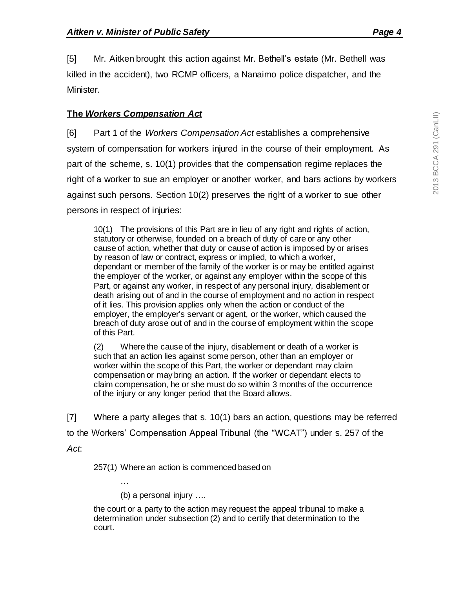[5] Mr. Aitken brought this action against Mr. Bethell's estate (Mr. Bethell was killed in the accident), two RCMP officers, a Nanaimo police dispatcher, and the Minister.

#### **The** *Workers Compensation Act*

[6] Part 1 of the *Workers Compensation Act* establishes a comprehensive system of compensation for workers injured in the course of their employment. As part of the scheme, s. 10(1) provides that the compensation regime replaces the right of a worker to sue an employer or another worker, and bars actions by workers against such persons. Section 10(2) preserves the right of a worker to sue other persons in respect of injuries:

10(1) The provisions of this Part are in lieu of any right and rights of action, statutory or otherwise, founded on a breach of duty of care or any other cause of action, whether that duty or cause of action is imposed by or arises by reason of law or contract, express or implied, to which a worker, dependant or member of the family of the worker is or may be entitled against the employer of the worker, or against any employer within the scope of this Part, or against any worker, in respect of any personal injury, disablement or death arising out of and in the course of employment and no action in respect of it lies. This provision applies only when the action or conduct of the employer, the employer's servant or agent, or the worker, which caused the breach of duty arose out of and in the course of employment within the scope of this Part.

(2) Where the cause of the injury, disablement or death of a worker is such that an action lies against some person, other than an employer or worker within the scope of this Part, the worker or dependant may claim compensation or may bring an action. If the worker or dependant elects to claim compensation, he or she must do so within 3 months of the occurrence of the injury or any longer period that the Board allows.

[7] Where a party alleges that s. 10(1) bars an action, questions may be referred to the Workers' Compensation Appeal Tribunal (the "WCAT") under s. 257 of the

*Act*:

257(1) Where an action is commenced based on

(b) a personal injury ….

…

the court or a party to the action may request the appeal tribunal to make a determination under subsection (2) and to certify that determination to the court.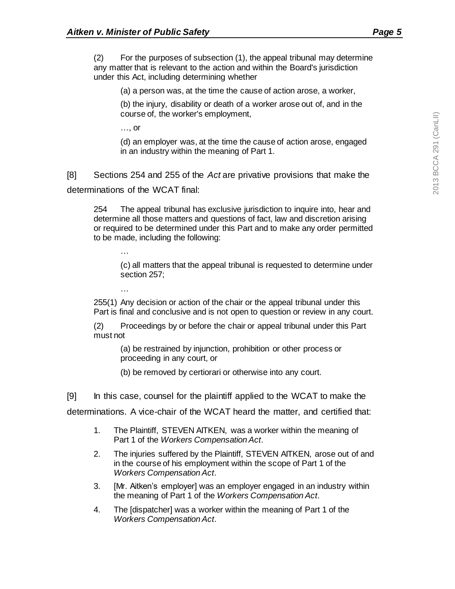(2) For the purposes of subsection (1), the appeal tribunal may determine any matter that is relevant to the action and within the Board's jurisdiction under this Act, including determining whether

(a) a person was, at the time the cause of action arose, a worker,

(b) the injury, disability or death of a worker arose out of, and in the course of, the worker's employment,

…, or

(d) an employer was, at the time the cause of action arose, engaged in an industry within the meaning of Part 1.

[8] Sections 254 and 255 of the *Act* are privative provisions that make the determinations of the WCAT final:

254 The appeal tribunal has exclusive jurisdiction to inquire into, hear and determine all those matters and questions of fact, law and discretion arising or required to be determined under this Part and to make any order permitted to be made, including the following:

…

(c) all matters that the appeal tribunal is requested to determine under section 257;

255(1) Any decision or action of the chair or the appeal tribunal under this Part is final and conclusive and is not open to question or review in any court.

(2) Proceedings by or before the chair or appeal tribunal under this Part must not

(a) be restrained by injunction, prohibition or other process or proceeding in any court, or

(b) be removed by certiorari or otherwise into any court.

[9] In this case, counsel for the plaintiff applied to the WCAT to make the

determinations. A vice-chair of the WCAT heard the matter, and certified that:

- 1. The Plaintiff, STEVEN AITKEN, was a worker within the meaning of Part 1 of the *Workers Compensation Act*.
- 2. The injuries suffered by the Plaintiff, STEVEN AITKEN, arose out of and in the course of his employment within the scope of Part 1 of the *Workers Compensation Act*.
- 3. [Mr. Aitken's employer] was an employer engaged in an industry within the meaning of Part 1 of the *Workers Compensation Act*.
- 4. The [dispatcher] was a worker within the meaning of Part 1 of the *Workers Compensation Act*.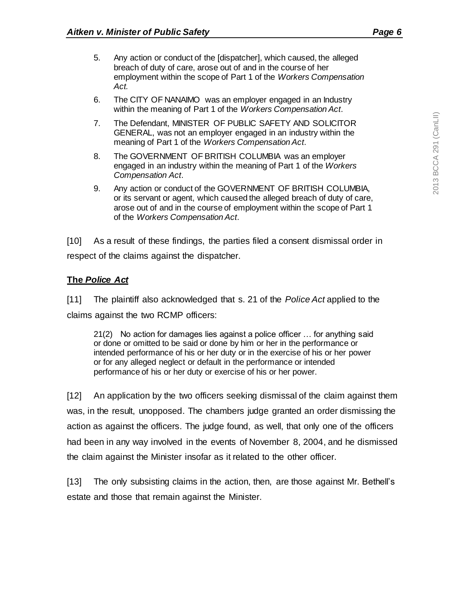- 5. Any action or conduct of the [dispatcher], which caused, the alleged breach of duty of care, arose out of and in the course of her employment within the scope of Part 1 of the *Workers Compensation Act.*
- 6. The CITY OF NANAIMO was an employer engaged in an Industry within the meaning of Part 1 of the *Workers Compensation Act*.
- 7. The Defendant, MINISTER OF PUBLIC SAFETY AND SOLICITOR GENERAL, was not an employer engaged in an industry within the meaning of Part 1 of the *Workers Compensation Act*.
- 8. The GOVERNMENT OF BRITISH COLUMBIA was an employer engaged in an industry within the meaning of Part 1 of the *Workers Compensation Act*.
- 9. Any action or conduct of the GOVERNMENT OF BRITISH COLUMBIA, or its servant or agent, which caused the alleged breach of duty of care, arose out of and in the course of employment within the scope of Part 1 of the *Workers Compensation Act*.

[10] As a result of these findings, the parties filed a consent dismissal order in respect of the claims against the dispatcher.

#### **The** *Police Act*

[11] The plaintiff also acknowledged that s. 21 of the *Police Act* applied to the claims against the two RCMP officers:

21(2) No action for damages lies against a police officer … for anything said or done or omitted to be said or done by him or her in the performance or intended performance of his or her duty or in the exercise of his or her power or for any alleged neglect or default in the performance or intended performance of his or her duty or exercise of his or her power.

[12] An application by the two officers seeking dismissal of the claim against them was, in the result, unopposed. The chambers judge granted an order dismissing the action as against the officers. The judge found, as well, that only one of the officers had been in any way involved in the events of November 8, 2004, and he dismissed the claim against the Minister insofar as it related to the other officer.

[13] The only subsisting claims in the action, then, are those against Mr. Bethell's estate and those that remain against the Minister.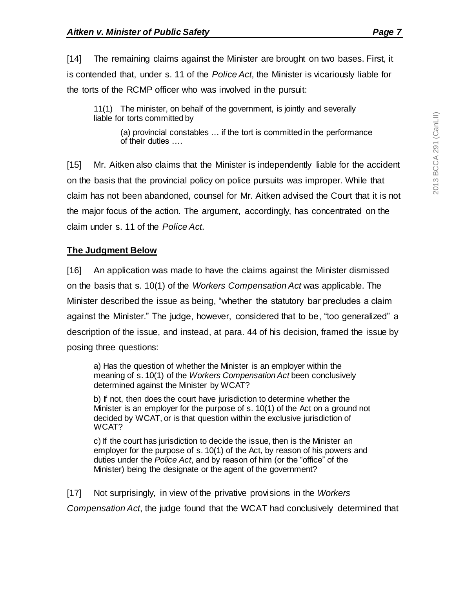[14] The remaining claims against the Minister are brought on two bases. First, it is contended that, under s. 11 of the *Police Act*, the Minister is vicariously liable for the torts of the RCMP officer who was involved in the pursuit:

11(1) The minister, on behalf of the government, is jointly and severally liable for torts committed by

(a) provincial constables … if the tort is committed in the performance of their duties ….

[15] Mr. Aitken also claims that the Minister is independently liable for the accident on the basis that the provincial policy on police pursuits was improper. While that claim has not been abandoned, counsel for Mr. Aitken advised the Court that it is not the major focus of the action. The argument, accordingly, has concentrated on the claim under s. 11 of the *Police Act*.

## **The Judgment Below**

[16] An application was made to have the claims against the Minister dismissed on the basis that s. 10(1) of the *Workers Compensation Act* was applicable. The Minister described the issue as being, "whether the statutory bar precludes a claim against the Minister." The judge, however, considered that to be, "too generalized" a description of the issue, and instead, at para. 44 of his decision, framed the issue by posing three questions:

a) Has the question of whether the Minister is an employer within the meaning of s. 10(1) of the *Workers Compensation Act* been conclusively determined against the Minister by WCAT?

b) If not, then does the court have jurisdiction to determine whether the Minister is an employer for the purpose of s. 10(1) of the Act on a ground not decided by WCAT, or is that question within the exclusive jurisdiction of WCAT?

c) If the court has jurisdiction to decide the issue, then is the Minister an employer for the purpose of s. 10(1) of the Act, by reason of his powers and duties under the *Police Act*, and by reason of him (or the "office" of the Minister) being the designate or the agent of the government?

[17] Not surprisingly, in view of the privative provisions in the *Workers Compensation Act*, the judge found that the WCAT had conclusively determined that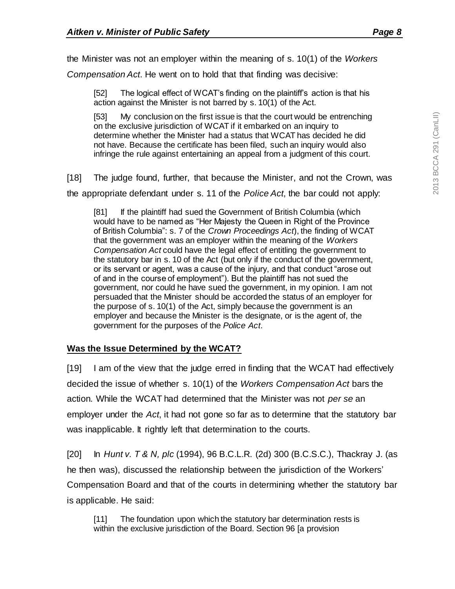the Minister was not an employer within the meaning of s. 10(1) of the *Workers* 

*Compensation Act*. He went on to hold that that finding was decisive:

[52] The logical effect of WCAT's finding on the plaintiff's action is that his action against the Minister is not barred by s. 10(1) of the Act.

[53] My conclusion on the first issue is that the court would be entrenching on the exclusive jurisdiction of WCAT if it embarked on an inquiry to determine whether the Minister had a status that WCAT has decided he did not have. Because the certificate has been filed, such an inquiry would also infringe the rule against entertaining an appeal from a judgment of this court.

[18] The judge found, further, that because the Minister, and not the Crown, was the appropriate defendant under s. 11 of the *Police Act*, the bar could not apply:

[81] If the plaintiff had sued the Government of British Columbia (which would have to be named as "Her Majesty the Queen in Right of the Province of British Columbia": s. 7 of the *Crown Proceedings Act*), the finding of WCAT that the government was an employer within the meaning of the *Workers Compensation Act* could have the legal effect of entitling the government to the statutory bar in s. 10 of the Act (but only if the conduct of the government, or its servant or agent, was a cause of the injury, and that conduct "arose out of and in the course of employment"). But the plaintiff has not sued the government, nor could he have sued the government, in my opinion. I am not persuaded that the Minister should be accorded the status of an employer for the purpose of s. 10(1) of the Act, simply because the government is an employer and because the Minister is the designate, or is the agent of, the government for the purposes of the *Police Act*.

## **Was the Issue Determined by the WCAT?**

[19] I am of the view that the judge erred in finding that the WCAT had effectively decided the issue of whether s. 10(1) of the *Workers Compensation Act* bars the action. While the WCAT had determined that the Minister was not *per se* an employer under the *Act*, it had not gone so far as to determine that the statutory bar was inapplicable. It rightly left that determination to the courts.

[20] In *Hunt v. T & N, plc* (1994), 96 B.C.L.R. (2d) 300 (B.C.S.C.), Thackray J. (as he then was), discussed the relationship between the jurisdiction of the Workers' Compensation Board and that of the courts in determining whether the statutory bar is applicable. He said:

[11] The foundation upon which the statutory bar determination rests is within the exclusive jurisdiction of the Board. Section 96 [a provision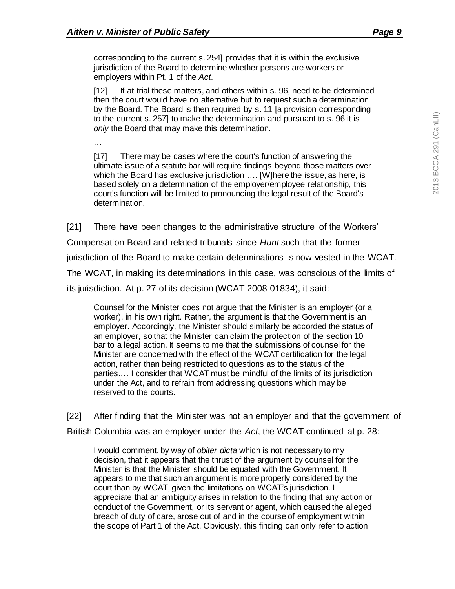corresponding to the current s. 254] provides that it is within the exclusive jurisdiction of the Board to determine whether persons are workers or employers within Pt. 1 of the *Act*.

[12] If at trial these matters, and others within s. 96, need to be determined then the court would have no alternative but to request such a determination by the Board. The Board is then required by s. 11 [a provision corresponding to the current s. 257] to make the determination and pursuant to s. 96 it is *only* the Board that may make this determination.

…

[17] There may be cases where the court's function of answering the ultimate issue of a statute bar will require findings beyond those matters over which the Board has exclusive jurisdiction …. [W]here the issue, as here, is based solely on a determination of the employer/employee relationship, this court's function will be limited to pronouncing the legal result of the Board's determination.

[21] There have been changes to the administrative structure of the Workers'

Compensation Board and related tribunals since *Hunt* such that the former

jurisdiction of the Board to make certain determinations is now vested in the WCAT.

The WCAT, in making its determinations in this case, was conscious of the limits of

its jurisdiction. At p. 27 of its decision (WCAT-2008-01834), it said:

Counsel for the Minister does not argue that the Minister is an employer (or a worker), in his own right. Rather, the argument is that the Government is an employer. Accordingly, the Minister should similarly be accorded the status of an employer, so that the Minister can claim the protection of the section 10 bar to a legal action. It seems to me that the submissions of counsel for the Minister are concerned with the effect of the WCAT certification for the legal action, rather than being restricted to questions as to the status of the parties.… I consider that WCAT must be mindful of the limits of its jurisdiction under the Act, and to refrain from addressing questions which may be reserved to the courts.

[22] After finding that the Minister was not an employer and that the government of British Columbia was an employer under the *Act*, the WCAT continued at p. 28:

I would comment, by way of *obiter dicta* which is not necessary to my decision, that it appears that the thrust of the argument by counsel for the Minister is that the Minister should be equated with the Government. It appears to me that such an argument is more properly considered by the court than by WCAT, given the limitations on WCAT's jurisdiction. I appreciate that an ambiguity arises in relation to the finding that any action or conduct of the Government, or its servant or agent, which caused the alleged breach of duty of care, arose out of and in the course of employment within the scope of Part 1 of the Act. Obviously, this finding can only refer to action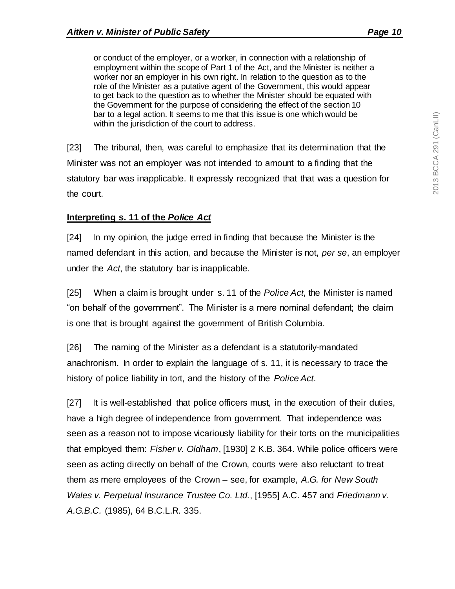or conduct of the employer, or a worker, in connection with a relationship of employment within the scope of Part 1 of the Act, and the Minister is neither a worker nor an employer in his own right. In relation to the question as to the role of the Minister as a putative agent of the Government, this would appear to get back to the question as to whether the Minister should be equated with the Government for the purpose of considering the effect of the section 10 bar to a legal action. It seems to me that this issue is one which would be within the jurisdiction of the court to address.

[23] The tribunal, then, was careful to emphasize that its determination that the Minister was not an employer was not intended to amount to a finding that the statutory bar was inapplicable. It expressly recognized that that was a question for the court.

#### **Interpreting s. 11 of the** *Police Act*

[24] In my opinion, the judge erred in finding that because the Minister is the named defendant in this action, and because the Minister is not, *per se*, an employer under the *Act*, the statutory bar is inapplicable.

[25] When a claim is brought under s. 11 of the *Police Act*, the Minister is named "on behalf of the government". The Minister is a mere nominal defendant; the claim is one that is brought against the government of British Columbia.

[26] The naming of the Minister as a defendant is a statutorily-mandated anachronism. In order to explain the language of s. 11, it is necessary to trace the history of police liability in tort, and the history of the *Police Act*.

[27] It is well-established that police officers must, in the execution of their duties, have a high degree of independence from government. That independence was seen as a reason not to impose vicariously liability for their torts on the municipalities that employed them: *Fisher v. Oldham*, [1930] 2 K.B. 364. While police officers were seen as acting directly on behalf of the Crown, courts were also reluctant to treat them as mere employees of the Crown – see, for example, *A.G. for New South Wales v. Perpetual Insurance Trustee Co. Ltd.*, [1955] A.C. 457 and *Friedmann v. A.G.B.C.* (1985), 64 B.C.L.R. 335.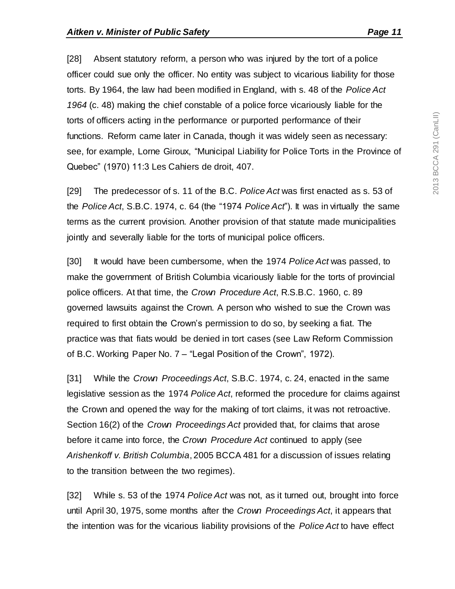[28] Absent statutory reform, a person who was injured by the tort of a police officer could sue only the officer. No entity was subject to vicarious liability for those torts. By 1964, the law had been modified in England, with s. 48 of the *Police Act 1964* (c. 48) making the chief constable of a police force vicariously liable for the torts of officers acting in the performance or purported performance of their functions. Reform came later in Canada, though it was widely seen as necessary: see, for example, Lorne Giroux, "Municipal Liability for Police Torts in the Province of Quebec" (1970) 11:3 Les Cahiers de droit, 407.

[29] The predecessor of s. 11 of the B.C. *Police Act* was first enacted as s. 53 of the *Police Act*, S.B.C. 1974, c. 64 (the "1974 *Police Act*"). It was in virtually the same terms as the current provision. Another provision of that statute made municipalities jointly and severally liable for the torts of municipal police officers.

[30] It would have been cumbersome, when the 1974 *Police Act* was passed, to make the government of British Columbia vicariously liable for the torts of provincial police officers. At that time, the *Crown Procedure Act*, R.S.B.C. 1960, c. 89 governed lawsuits against the Crown. A person who wished to sue the Crown was required to first obtain the Crown's permission to do so, by seeking a fiat. The practice was that fiats would be denied in tort cases (see Law Reform Commission of B.C. Working Paper No. 7 – "Legal Position of the Crown", 1972).

[31] While the *Crown Proceedings Act*, S.B.C. 1974, c. 24, enacted in the same legislative session as the 1974 *Police Act*, reformed the procedure for claims against the Crown and opened the way for the making of tort claims, it was not retroactive. Section 16(2) of the *Crown Proceedings Act* provided that, for claims that arose before it came into force, the *Crown Procedure Act* continued to apply (see *Arishenkoff v. British Columbia*, 2005 BCCA 481 for a discussion of issues relating to the transition between the two regimes).

[32] While s. 53 of the 1974 *Police Act* was not, as it turned out, brought into force until April 30, 1975, some months after the *Crown Proceedings Act*, it appears that the intention was for the vicarious liability provisions of the *Police Act* to have effect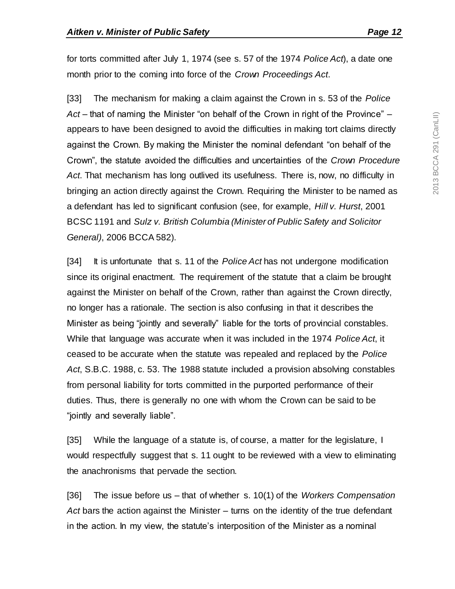for torts committed after July 1, 1974 (see s. 57 of the 1974 *Police Act*), a date one month prior to the coming into force of the *Crown Proceedings Act*.

[33] The mechanism for making a claim against the Crown in s. 53 of the *Police Act* – that of naming the Minister "on behalf of the Crown in right of the Province" – appears to have been designed to avoid the difficulties in making tort claims directly against the Crown. By making the Minister the nominal defendant "on behalf of the Crown", the statute avoided the difficulties and uncertainties of the *Crown Procedure Act*. That mechanism has long outlived its usefulness. There is, now, no difficulty in bringing an action directly against the Crown. Requiring the Minister to be named as a defendant has led to significant confusion (see, for example, *Hill v. Hurst*, 2001 BCSC 1191 and *Sulz v. British Columbia (Minister of Public Safety and Solicitor General)*, 2006 BCCA 582).

[34] It is unfortunate that s. 11 of the *Police Act* has not undergone modification since its original enactment. The requirement of the statute that a claim be brought against the Minister on behalf of the Crown, rather than against the Crown directly, no longer has a rationale. The section is also confusing in that it describes the Minister as being "jointly and severally" liable for the torts of provincial constables. While that language was accurate when it was included in the 1974 *Police Act*, it ceased to be accurate when the statute was repealed and replaced by the *Police Act*, S.B.C. 1988, c. 53. The 1988 statute included a provision absolving constables from personal liability for torts committed in the purported performance of their duties. Thus, there is generally no one with whom the Crown can be said to be "jointly and severally liable".

[35] While the language of a statute is, of course, a matter for the legislature, I would respectfully suggest that s. 11 ought to be reviewed with a view to eliminating the anachronisms that pervade the section.

[36] The issue before us – that of whether s. 10(1) of the *Workers Compensation Act* bars the action against the Minister – turns on the identity of the true defendant in the action. In my view, the statute's interposition of the Minister as a nominal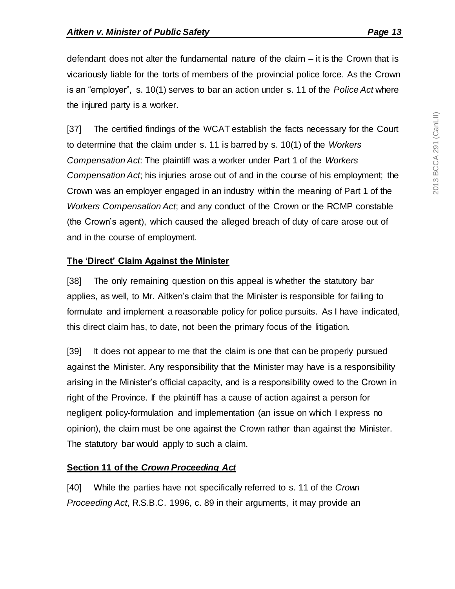defendant does not alter the fundamental nature of the claim – it is the Crown that is vicariously liable for the torts of members of the provincial police force. As the Crown is an "employer", s. 10(1) serves to bar an action under s. 11 of the *Police Act* where the injured party is a worker.

[37] The certified findings of the WCAT establish the facts necessary for the Court to determine that the claim under s. 11 is barred by s. 10(1) of the *Workers Compensation Act*: The plaintiff was a worker under Part 1 of the *Workers Compensation Act*; his injuries arose out of and in the course of his employment; the Crown was an employer engaged in an industry within the meaning of Part 1 of the *Workers Compensation Act*; and any conduct of the Crown or the RCMP constable (the Crown's agent), which caused the alleged breach of duty of care arose out of and in the course of employment.

## **The 'Direct' Claim Against the Minister**

[38] The only remaining question on this appeal is whether the statutory bar applies, as well, to Mr. Aitken's claim that the Minister is responsible for failing to formulate and implement a reasonable policy for police pursuits. As I have indicated, this direct claim has, to date, not been the primary focus of the litigation.

[39] It does not appear to me that the claim is one that can be properly pursued against the Minister. Any responsibility that the Minister may have is a responsibility arising in the Minister's official capacity, and is a responsibility owed to the Crown in right of the Province. If the plaintiff has a cause of action against a person for negligent policy-formulation and implementation (an issue on which I express no opinion), the claim must be one against the Crown rather than against the Minister. The statutory bar would apply to such a claim.

## **Section 11 of the** *Crown Proceeding Act*

[40] While the parties have not specifically referred to s. 11 of the *Crown Proceeding Act*, R.S.B.C. 1996, c. 89 in their arguments, it may provide an